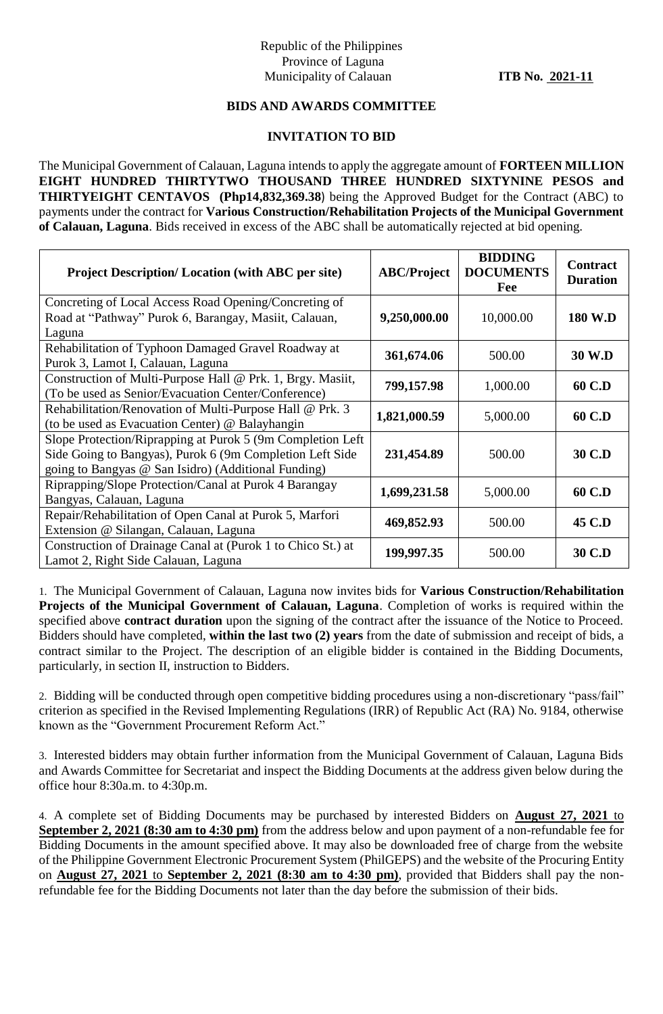## Republic of the Philippines Province of Laguna Municipality of Calauan **ITB No. 2021-11**

## **BIDS AND AWARDS COMMITTEE**

## **INVITATION TO BID**

The Municipal Government of Calauan, Laguna intends to apply the aggregate amount of **FORTEEN MILLION EIGHT HUNDRED THIRTYTWO THOUSAND THREE HUNDRED SIXTYNINE PESOS and THIRTYEIGHT CENTAVOS (Php14,832,369.38**) being the Approved Budget for the Contract (ABC) to payments under the contract for **Various Construction/Rehabilitation Projects of the Municipal Government of Calauan, Laguna**. Bids received in excess of the ABC shall be automatically rejected at bid opening.

| <b>Project Description/Location (with ABC per site)</b>     | <b>ABC/Project</b> | <b>BIDDING</b><br><b>DOCUMENTS</b><br>Fee | <b>Contract</b><br><b>Duration</b> |
|-------------------------------------------------------------|--------------------|-------------------------------------------|------------------------------------|
| Concreting of Local Access Road Opening/Concreting of       |                    |                                           |                                    |
| Road at "Pathway" Purok 6, Barangay, Masiit, Calauan,       | 9,250,000.00       | 10,000.00                                 | <b>180 W.D</b>                     |
| Laguna                                                      |                    |                                           |                                    |
| Rehabilitation of Typhoon Damaged Gravel Roadway at         | 361,674.06         | 500.00                                    | 30 W.D                             |
| Purok 3, Lamot I, Calauan, Laguna                           |                    |                                           |                                    |
| Construction of Multi-Purpose Hall @ Prk. 1, Brgy. Masiit,  | 799,157.98         | 1,000.00                                  | 60 C.D                             |
| (To be used as Senior/Evacuation Center/Conference)         |                    |                                           |                                    |
| Rehabilitation/Renovation of Multi-Purpose Hall @ Prk. 3    | 1,821,000.59       | 5,000.00                                  | 60 C.D                             |
| (to be used as Evacuation Center) @ Balayhangin             |                    |                                           |                                    |
| Slope Protection/Riprapping at Purok 5 (9m Completion Left) |                    |                                           |                                    |
| Side Going to Bangyas), Purok 6 (9m Completion Left Side    | 231,454.89         | 500.00                                    | 30 C.D                             |
| going to Bangyas @ San Isidro) (Additional Funding)         |                    |                                           |                                    |
| Riprapping/Slope Protection/Canal at Purok 4 Barangay       |                    |                                           | 60 C.D                             |
| Bangyas, Calauan, Laguna                                    | 1,699,231.58       | 5,000.00                                  |                                    |
| Repair/Rehabilitation of Open Canal at Purok 5, Marfori     | 469,852.93         | 500.00                                    | 45 C.D                             |
| Extension @ Silangan, Calauan, Laguna                       |                    |                                           |                                    |
| Construction of Drainage Canal at (Purok 1 to Chico St.) at | 199,997.35         | 500.00                                    |                                    |
| Lamot 2, Right Side Calauan, Laguna                         |                    |                                           | 30 C.D                             |

1. The Municipal Government of Calauan, Laguna now invites bids for **Various Construction/Rehabilitation Projects of the Municipal Government of Calauan, Laguna**. Completion of works is required within the specified above **contract duration** upon the signing of the contract after the issuance of the Notice to Proceed. Bidders should have completed, **within the last two (2) years** from the date of submission and receipt of bids, a contract similar to the Project. The description of an eligible bidder is contained in the Bidding Documents, particularly, in section II, instruction to Bidders.

2. Bidding will be conducted through open competitive bidding procedures using a non-discretionary "pass/fail" criterion as specified in the Revised Implementing Regulations (IRR) of Republic Act (RA) No. 9184, otherwise known as the "Government Procurement Reform Act."

3. Interested bidders may obtain further information from the Municipal Government of Calauan, Laguna Bids and Awards Committee for Secretariat and inspect the Bidding Documents at the address given below during the office hour 8:30a.m. to 4:30p.m.

4. A complete set of Bidding Documents may be purchased by interested Bidders on **August 27, 2021** to **September 2, 2021 (8:30 am to 4:30 pm)** from the address below and upon payment of a non-refundable fee for Bidding Documents in the amount specified above. It may also be downloaded free of charge from the website of the Philippine Government Electronic Procurement System (PhilGEPS) and the website of the Procuring Entity on **August 27, 2021** to **September 2, 2021 (8:30 am to 4:30 pm)**, provided that Bidders shall pay the nonrefundable fee for the Bidding Documents not later than the day before the submission of their bids.